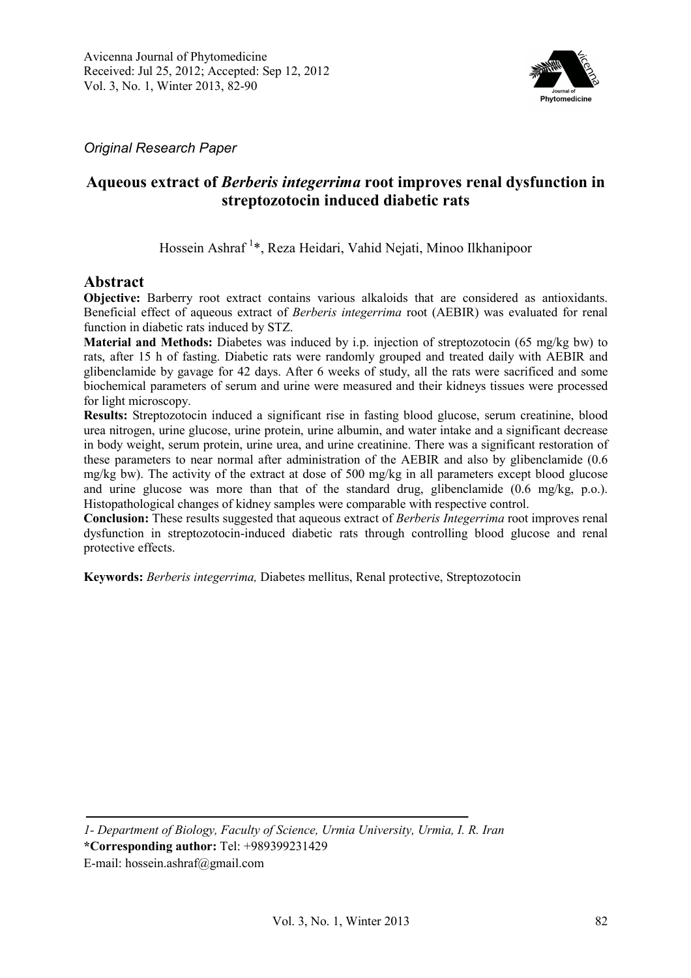

*Original Research Paper* 

# **Aqueous extract of** *Berberis integerrima* **root improves renal dysfunction in streptozotocin induced diabetic rats**

Hossein Ashraf<sup>1</sup>\*, Reza Heidari, Vahid Nejati, Minoo Ilkhanipoor

# **Abstract**

**Objective:** Barberry root extract contains various alkaloids that are considered as antioxidants. Beneficial effect of aqueous extract of *Berberis integerrima* root (AEBIR) was evaluated for renal function in diabetic rats induced by STZ.

**Material and Methods:** Diabetes was induced by i.p. injection of streptozotocin (65 mg/kg bw) to rats, after 15 h of fasting. Diabetic rats were randomly grouped and treated daily with AEBIR and glibenclamide by gavage for 42 days. After 6 weeks of study, all the rats were sacrificed and some biochemical parameters of serum and urine were measured and their kidneys tissues were processed for light microscopy.

**Results:** Streptozotocin induced a significant rise in fasting blood glucose, serum creatinine, blood urea nitrogen, urine glucose, urine protein, urine albumin, and water intake and a significant decrease in body weight, serum protein, urine urea, and urine creatinine. There was a significant restoration of these parameters to near normal after administration of the AEBIR and also by glibenclamide (0.6 mg/kg bw). The activity of the extract at dose of 500 mg/kg in all parameters except blood glucose and urine glucose was more than that of the standard drug, glibenclamide  $(0.6 \text{ mg/kg}, \text{ p.o.})$ . Histopathological changes of kidney samples were comparable with respective control.

**Conclusion:** These results suggested that aqueous extract of *Berberis Integerrima* root improves renal dysfunction in streptozotocin-induced diabetic rats through controlling blood glucose and renal protective effects.

**Keywords:** *Berberis integerrima,* Diabetes mellitus, Renal protective, Streptozotocin

*1- Department of Biology, Faculty of Science, Urmia University, Urmia, I. R. Iran*  **\*Corresponding author:** Tel: +989399231429

E-mail: hossein.ashraf@gmail.com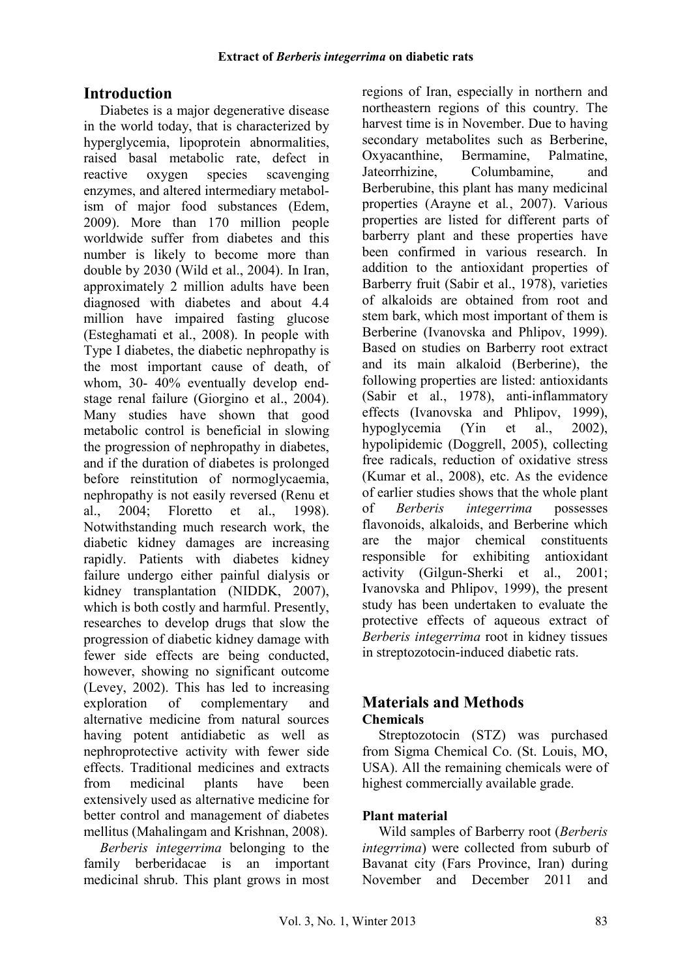# **Introduction**

Diabetes is a major degenerative disease in the world today, that is characterized by hyperglycemia, lipoprotein abnormalities, raised basal metabolic rate, defect in reactive oxygen species scavenging enzymes, and altered intermediary metabolism of major food substances (Edem, 2009). More than 170 million people worldwide suffer from diabetes and this number is likely to become more than double by 2030 (Wild et al., 2004). In Iran, approximately 2 million adults have been diagnosed with diabetes and about 4.4 million have impaired fasting glucose (Esteghamati et al., 2008). In people with Type I diabetes, the diabetic nephropathy is the most important cause of death, of whom, 30- 40% eventually develop endstage renal failure (Giorgino et al., 2004). Many studies have shown that good metabolic control is beneficial in slowing the progression of nephropathy in diabetes, and if the duration of diabetes is prolonged before reinstitution of normoglycaemia, nephropathy is not easily reversed (Renu et al., 2004; Floretto et al., 1998). Notwithstanding much research work, the diabetic kidney damages are increasing rapidly. Patients with diabetes kidney failure undergo either painful dialysis or kidney transplantation (NIDDK, 2007), which is both costly and harmful. Presently, researches to develop drugs that slow the progression of diabetic kidney damage with fewer side effects are being conducted, however, showing no significant outcome (Levey, 2002). This has led to increasing exploration of complementary and alternative medicine from natural sources having potent antidiabetic as well as nephroprotective activity with fewer side effects. Traditional medicines and extracts from medicinal plants have been extensively used as alternative medicine for better control and management of diabetes mellitus (Mahalingam and Krishnan, 2008).

*Berberis integerrima* belonging to the family berberidacae is an important medicinal shrub. This plant grows in most regions of Iran, especially in northern and northeastern regions of this country. The harvest time is in November. Due to having secondary metabolites such as Berberine, Oxyacanthine, Bermamine, Palmatine, Jateorrhizine, Columbamine, and Berberubine, this plant has many medicinal properties (Arayne et al*.*, 2007). Various properties are listed for different parts of barberry plant and these properties have been confirmed in various research. In addition to the antioxidant properties of Barberry fruit (Sabir et al., 1978), varieties of alkaloids are obtained from root and stem bark, which most important of them is Berberine (Ivanovska and Phlipov, 1999). Based on studies on Barberry root extract and its main alkaloid (Berberine), the following properties are listed: antioxidants (Sabir et al., 1978), anti-inflammatory effects (Ivanovska and Phlipov, 1999), hypoglycemia (Yin et al., 2002), hypolipidemic (Doggrell, 2005), collecting free radicals, reduction of oxidative stress (Kumar et al., 2008), etc. As the evidence of earlier studies shows that the whole plant of *Berberis integerrima* possesses flavonoids, alkaloids, and Berberine which are the major chemical constituents responsible for exhibiting antioxidant activity (Gilgun-Sherki et al., 2001; Ivanovska and Phlipov, 1999), the present study has been undertaken to evaluate the protective effects of aqueous extract of *Berberis integerrima* root in kidney tissues in streptozotocin-induced diabetic rats.

# **Materials and Methods Chemicals**

Streptozotocin (STZ) was purchased from Sigma Chemical Co. (St. Louis, MO, USA). All the remaining chemicals were of highest commercially available grade.

# **Plant material**

Wild samples of Barberry root (*Berberis integrrima*) were collected from suburb of Bavanat city (Fars Province, Iran) during November and December 2011 and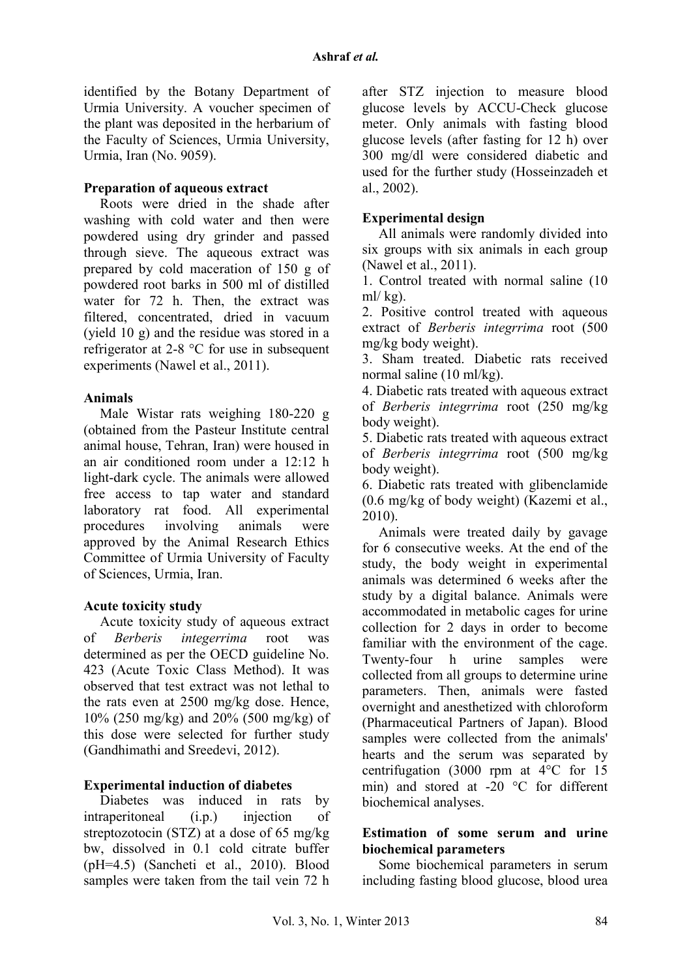identified by the Botany Department of Urmia University. A voucher specimen of the plant was deposited in the herbarium of the Faculty of Sciences, Urmia University, Urmia, Iran (No. 9059).

### **Preparation of aqueous extract**

Roots were dried in the shade after washing with cold water and then were powdered using dry grinder and passed through sieve. The aqueous extract was prepared by cold maceration of 150 g of powdered root barks in 500 ml of distilled water for 72 h. Then, the extract was filtered, concentrated, dried in vacuum (yield 10 g) and the residue was stored in a refrigerator at 2-8 °C for use in subsequent experiments (Nawel et al., 2011).

### **Animals**

Male Wistar rats weighing 180-220 g (obtained from the Pasteur Institute central animal house, Tehran, Iran) were housed in an air conditioned room under a 12:12 h light-dark cycle. The animals were allowed free access to tap water and standard laboratory rat food. All experimental procedures involving animals were approved by the Animal Research Ethics Committee of Urmia University of Faculty of Sciences, Urmia, Iran.

### **Acute toxicity study**

Acute toxicity study of aqueous extract of *Berberis integerrima* root was determined as per the OECD guideline No. 423 (Acute Toxic Class Method). It was observed that test extract was not lethal to the rats even at 2500 mg/kg dose. Hence, 10% (250 mg/kg) and 20% (500 mg/kg) of this dose were selected for further study (Gandhimathi and Sreedevi, 2012).

# **Experimental induction of diabetes**

Diabetes was induced in rats by intraperitoneal (i.p.) injection of streptozotocin (STZ) at a dose of 65 mg/kg bw, dissolved in 0.1 cold citrate buffer (pH=4.5) (Sancheti et al., 2010). Blood samples were taken from the tail vein 72 h after STZ injection to measure blood glucose levels by ACCU-Check glucose meter. Only animals with fasting blood glucose levels (after fasting for 12 h) over 300 mg/dl were considered diabetic and used for the further study (Hosseinzadeh et al., 2002).

## **Experimental design**

All animals were randomly divided into six groups with six animals in each group (Nawel et al., 2011).

1. Control treated with normal saline (10 ml/ $kg$ ).

2. Positive control treated with aqueous extract of *Berberis integrrima* root (500 mg/kg body weight).

3. Sham treated. Diabetic rats received normal saline (10 ml/kg).

4. Diabetic rats treated with aqueous extract of *Berberis integrrima* root (250 mg/kg body weight).

5. Diabetic rats treated with aqueous extract of *Berberis integrrima* root (500 mg/kg body weight).

6. Diabetic rats treated with glibenclamide (0.6 mg/kg of body weight) (Kazemi et al., 2010).

Animals were treated daily by gavage for 6 consecutive weeks. At the end of the study, the body weight in experimental animals was determined 6 weeks after the study by a digital balance. Animals were accommodated in metabolic cages for urine collection for 2 days in order to become familiar with the environment of the cage. Twenty-four h urine samples were collected from all groups to determine urine parameters. Then, animals were fasted overnight and anesthetized with chloroform (Pharmaceutical Partners of Japan). Blood samples were collected from the animals' hearts and the serum was separated by centrifugation (3000 rpm at 4°C for 15 min) and stored at -20 °C for different biochemical analyses.

## **Estimation of some serum and urine biochemical parameters**

Some biochemical parameters in serum including fasting blood glucose, blood urea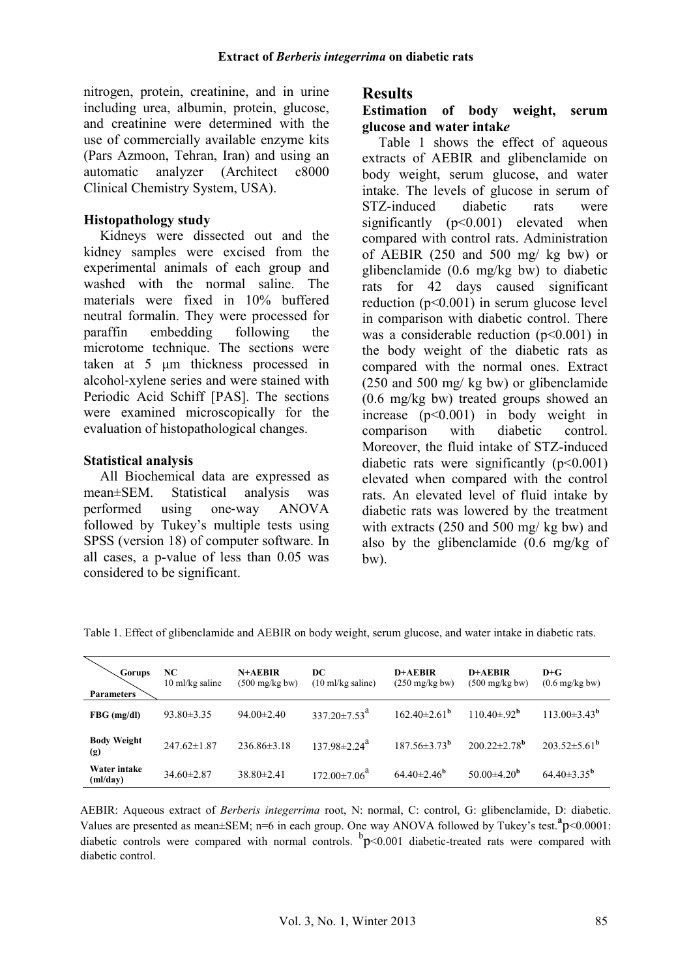nitrogen, protein, creatinine, and in urine including urea, albumin, protein, glucose, and creatinine were determined with the use of commercially available enzyme kits (Pars Azmoon, Tehran, Iran) and using an automatic analyzer (Architect c8000 Clinical Chemistry System, USA).

## **Histopathology study**

Kidneys were dissected out and the kidney samples were excised from the experimental animals of each group and washed with the normal saline. The materials were fixed in 10% buffered neutral formalin. They were processed for paraffin embedding following the microtome technique. The sections were taken at 5 um thickness processed in alcohol‐xylene series and were stained with Periodic Acid Schiff [PAS]. The sections were examined microscopically for the evaluation of histopathological changes.

## **Statistical analysis**

All Biochemical data are expressed as mean±SEM. Statistical analysis was performed using one‐way ANOVA followed by Tukey's multiple tests using SPSS (version 18) of computer software. In all cases, a p-value of less than 0.05 was considered to be significant.

## **Results**

### **Estimation of body weight, serum glucose and water intak***e*

Table 1 shows the effect of aqueous extracts of AEBIR and glibenclamide on body weight, serum glucose, and water intake. The levels of glucose in serum of STZ-induced diabetic rats were significantly  $(p<0.001)$  elevated when compared with control rats. Administration of AEBIR (250 and 500 mg/ kg bw) or glibenclamide (0.6 mg/kg bw) to diabetic rats for 42 days caused significant reduction (p<0.001) in serum glucose level in comparison with diabetic control. There was a considerable reduction  $(p<0.001)$  in the body weight of the diabetic rats as compared with the normal ones. Extract (250 and 500 mg/ kg bw) or glibenclamide (0.6 mg/kg bw) treated groups showed an increase (p<0.001) in body weight in comparison with diabetic control. Moreover, the fluid intake of STZ-induced diabetic rats were significantly  $(p<0.001)$ elevated when compared with the control rats. An elevated level of fluid intake by diabetic rats was lowered by the treatment with extracts (250 and 500 mg/ kg bw) and also by the glibenclamide (0.6 mg/kg of bw).

| <b>Gorups</b><br><b>Parameters</b>                | NC<br>$10$ ml/kg saline | N+AEBIR<br>$(500 \text{ mg/kg bw})$ | DC<br>$(10 \text{ ml/kg saline})$ | <b>D+AEBIR</b><br>$(250 \text{ mg/kg bw})$ | <b>D+AEBIR</b><br>$(500 \text{ mg/kg bw})$ | $D + G$<br>$(0.6 \text{ mg/kg bw})$ |
|---------------------------------------------------|-------------------------|-------------------------------------|-----------------------------------|--------------------------------------------|--------------------------------------------|-------------------------------------|
| $FBG$ (mg/dl)                                     | $93.80 \pm 3.35$        | $94.00 \pm 2.40$                    | $337.20 \pm 7.53^{\text{a}}$      | $162.40 \pm 2.61^{\mathrm{b}}$             | $110.40\pm.92^{\rm b}$                     | $113.00\pm3.43^{\rm b}$             |
| <b>Body Weight</b><br>$\left( \mathbf{g} \right)$ | $247.62 \pm 1.87$       | $236.86\pm3.18$                     | $137.98 \pm 2.24^{\text{a}}$      | $187.56 \pm 3.73^{\mathrm{b}}$             | $200.22 \pm 2.78^{\mathrm{b}}$             | $203.52\pm5.61^{\mathrm{b}}$        |
| Water intake<br>m/day)                            | $34.60 \pm 2.87$        | $38.80 \pm 2.41$                    | $172.00 \pm 7.06^{\text{a}}$      | $64.40\pm2.46^{\mathrm{b}}$                | 50.00 $\pm$ 4.20 <sup>b</sup>              | $64.40\pm3.35^{b}$                  |

Table 1. Effect of glibenclamide and AEBIR on body weight, serum glucose, and water intake in diabetic rats.

AEBIR: Aqueous extract of *Berberis integerrima* root, N: normal, C: control, G: glibenclamide, D: diabetic. Values are presented as mean±SEM; n=6 in each group. One way ANOVA followed by Tukey's test.<sup>a</sup>p<0.0001: diabetic controls were compared with normal controls. <sup>b</sup>p<0.001 diabetic-treated rats were compared with diabetic control.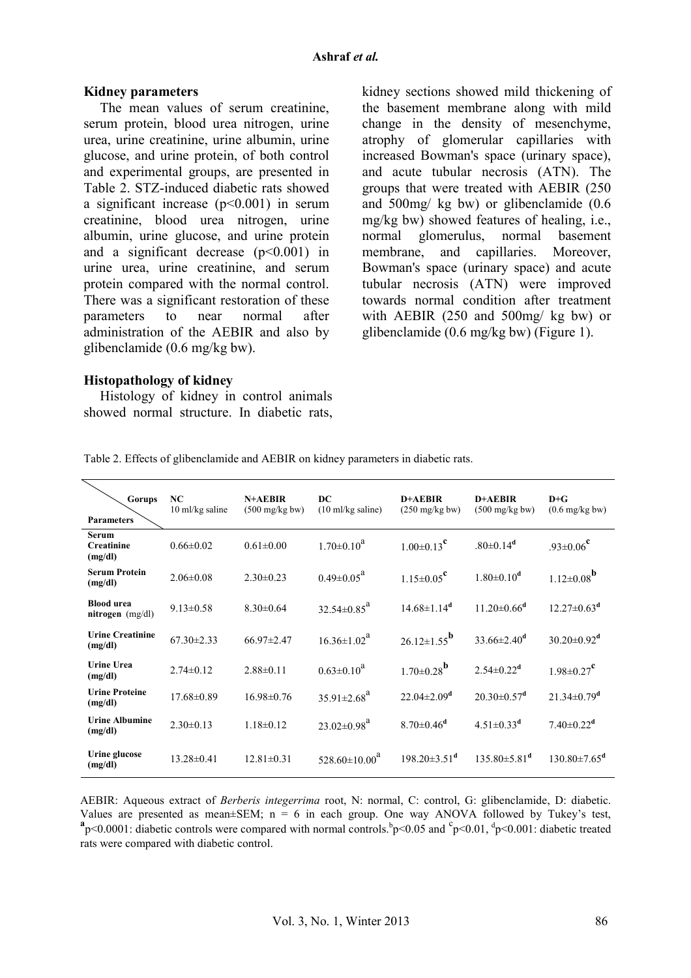#### **Kidney parameters**

The mean values of serum creatinine, serum protein, blood urea nitrogen, urine urea, urine creatinine, urine albumin, urine glucose, and urine protein, of both control and experimental groups, are presented in Table 2. STZ-induced diabetic rats showed a significant increase  $(p<0.001)$  in serum creatinine, blood urea nitrogen, urine albumin, urine glucose, and urine protein and a significant decrease  $(p<0.001)$  in urine urea, urine creatinine, and serum protein compared with the normal control. There was a significant restoration of these parameters to near normal after administration of the AEBIR and also by glibenclamide (0.6 mg/kg bw).

kidney sections showed mild thickening of the basement membrane along with mild change in the density of mesenchyme, atrophy of glomerular capillaries with increased Bowman's space (urinary space), and acute tubular necrosis (ATN). The groups that were treated with AEBIR (250 and 500mg/ kg bw) or glibenclamide (0.6 mg/kg bw) showed features of healing, i.e., normal glomerulus, normal basement membrane, and capillaries. Moreover, Bowman's space (urinary space) and acute tubular necrosis (ATN) were improved towards normal condition after treatment with AEBIR (250 and 500mg/ kg bw) or glibenclamide (0.6 mg/kg bw) (Figure 1).

### **Histopathology of kidney**

Histology of kidney in control animals showed normal structure. In diabetic rats,

 **Gorups Parameters NC**  10 ml/kg saline **N+AEBIR**  (500 mg/kg bw)  $\overline{D}C$ (10 ml/kg saline) **D+AEBIR**  (250 mg/kg bw) **D+AEBIR**  (500 mg/kg bw) **D+G**  (0.6 mg/kg bw) **Serum Creatinine (mg/dl)**   $0.66\pm0.02$   $0.61\pm0.00$   $1.70\pm0.10^{a}$ 1.00±0.13**<sup>c</sup>**  $.80\pm0.14^{d}$ .93±0.06**<sup>c</sup> Serum Protein (2.06±0.08** 2.30±0.23 0.49±0.05<sup>a</sup><br>**(2.06±0.08** 2.30±0.23 0.49±0.05<sup>a</sup>  $1.15\pm0.05^{\rm c}$ 1.80±0.10**<sup>d</sup>** 1.12±0.08**<sup>b</sup> Blood urea Blood urea**<br> **nitrogen** (mg/dl) 9.13±0.58 8.30±0.64 32.54±0.85<sup>a</sup> 14.68±1.14**<sup>d</sup>** 11.20±0.66**<sup>d</sup>** 12.27±0.63**<sup>d</sup> Urine Creatinine (mg/dl) 67.30±2.33 66.97±2.47 16.36±1.02**<sup>a</sup>  $26.12 \pm 1.55$ **b** 33.66±2.40**<sup>d</sup>** 30.20±0.92**<sup>d</sup> Urine Urea**   $2.74\pm0.12$   $2.88\pm0.11$   $0.63\pm0.10^{a}$ 1.70±0.28**<sup>b</sup>** 2.54±0.22**<sup>d</sup>** 1.98±0.27**<sup>c</sup> Urine Proteine UTIRE FTOLEIRE** 17.68±0.89 16.98±0.76 35.91±2.68<sup>a</sup> 22.04±2.09**<sup>d</sup>** 20.30±0.57**<sup>d</sup>** 21.34±0.79**<sup>d</sup> Urine Albumine Urine Albumine**  $2.30\pm0.13$   $1.18\pm0.12$   $23.02\pm0.98^{\circ}$ 8.70±0.46**<sup>d</sup>** 4.51±0.33**<sup>d</sup>** 7.40±0.22**<sup>d</sup> Urine glucose (mg/dl)** 13.28±0.41 12.81±0.31 528.60±10.00<sup>a</sup> 198.20±3.51**<sup>d</sup>** 135.80±5.81**<sup>d</sup>** 130.80±7.65**<sup>d</sup>**

Table 2. Effects of glibenclamide and AEBIR on kidney parameters in diabetic rats.

AEBIR: Aqueous extract of *Berberis integerrima* root, N: normal, C: control, G: glibenclamide, D: diabetic. Values are presented as mean $\pm$ SEM; n = 6 in each group. One way ANOVA followed by Tukey's test,  $a_p$ <0.0001: diabetic controls were compared with normal controls.<sup>b</sup>p<0.05 and <sup>c</sup><sub>p</sub><0.01, <sup>d</sup><sub>p</sub><0.001: diabetic treated rats were compared with diabetic control.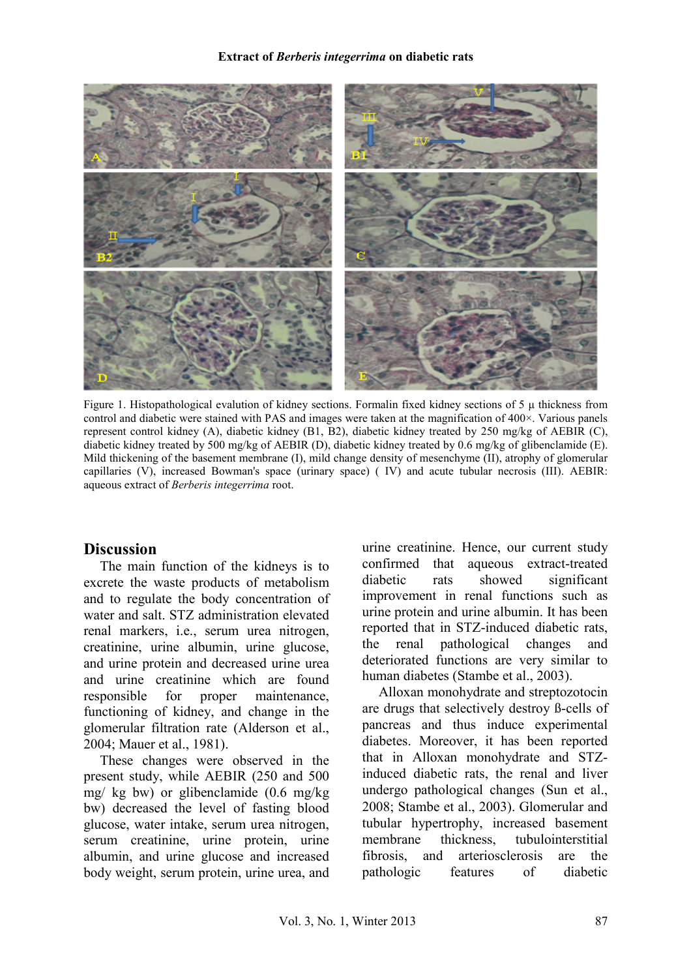

Figure 1. Histopathological evalution of kidney sections. Formalin fixed kidney sections of 5 µ thickness from control and diabetic were stained with PAS and images were taken at the magnification of 400×. Various panels represent control kidney (A), diabetic kidney (B1, B2), diabetic kidney treated by 250 mg/kg of AEBIR (C), diabetic kidney treated by 500 mg/kg of AEBIR (D), diabetic kidney treated by 0.6 mg/kg of glibenclamide (E). Mild thickening of the basement membrane (I), mild change density of mesenchyme (II), atrophy of glomerular capillaries (V), increased Bowman's space (urinary space) ( IV) and acute tubular necrosis (III). AEBIR: aqueous extract of *Berberis integerrima* root.

### **Discussion**

The main function of the kidneys is to excrete the waste products of metabolism and to regulate the body concentration of water and salt. STZ administration elevated renal markers, i.e., serum urea nitrogen, creatinine, urine albumin, urine glucose, and urine protein and decreased urine urea and urine creatinine which are found responsible for proper maintenance, functioning of kidney, and change in the glomerular filtration rate (Alderson et al., 2004; Mauer et al., 1981).

These changes were observed in the present study, while AEBIR (250 and 500 mg/ kg bw) or glibenclamide (0.6 mg/kg bw) decreased the level of fasting blood glucose, water intake, serum urea nitrogen, serum creatinine, urine protein, urine albumin, and urine glucose and increased body weight, serum protein, urine urea, and urine creatinine. Hence, our current study confirmed that aqueous extract-treated diabetic rats showed significant improvement in renal functions such as urine protein and urine albumin. It has been reported that in STZ-induced diabetic rats, the renal pathological changes and deteriorated functions are very similar to human diabetes (Stambe et al., 2003).

Alloxan monohydrate and streptozotocin are drugs that selectively destroy ß-cells of pancreas and thus induce experimental diabetes. Moreover, it has been reported that in Alloxan monohydrate and STZinduced diabetic rats, the renal and liver undergo pathological changes (Sun et al., 2008; Stambe et al., 2003). Glomerular and tubular hypertrophy, increased basement membrane thickness, tubulointerstitial fibrosis, and arteriosclerosis are the pathologic features of diabetic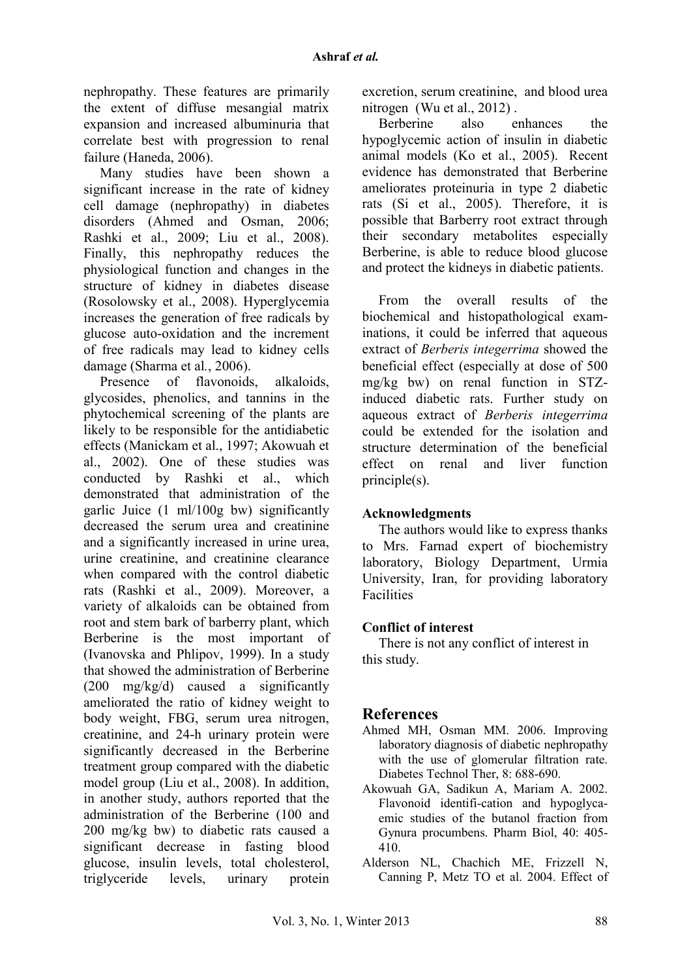nephropathy. These features are primarily the extent of diffuse mesangial matrix expansion and increased albuminuria that correlate best with progression to renal failure (Haneda, 2006).

Many studies have been shown a significant increase in the rate of kidney cell damage (nephropathy) in diabetes disorders (Ahmed and Osman, 2006; Rashki et al., 2009; Liu et al., 2008). Finally, this nephropathy reduces the physiological function and changes in the structure of kidney in diabetes disease (Rosolowsky et al., 2008). Hyperglycemia increases the generation of free radicals by glucose auto-oxidation and the increment of free radicals may lead to kidney cells damage (Sharma et al*.*, 2006).

Presence of flavonoids, alkaloids, glycosides, phenolics, and tannins in the phytochemical screening of the plants are likely to be responsible for the antidiabetic effects (Manickam et al., 1997; Akowuah et al., 2002). One of these studies was conducted by Rashki et al., which demonstrated that administration of the garlic Juice (1 ml/100g bw) significantly decreased the serum urea and creatinine and a significantly increased in urine urea, urine creatinine, and creatinine clearance when compared with the control diabetic rats (Rashki et al., 2009). Moreover, a variety of alkaloids can be obtained from root and stem bark of barberry plant, which Berberine is the most important of (Ivanovska and Phlipov, 1999). In a study that showed the administration of Berberine (200 mg/kg/d) caused a significantly ameliorated the ratio of kidney weight to body weight, FBG, serum urea nitrogen, creatinine, and 24-h urinary protein were significantly decreased in the Berberine treatment group compared with the diabetic model group (Liu et al., 2008). In addition, in another study, authors reported that the administration of the Berberine (100 and 200 mg/kg bw) to diabetic rats caused a significant decrease in fasting blood glucose, insulin levels, total cholesterol, triglyceride levels, urinary protein excretion, serum creatinine, and blood urea nitrogen (Wu et al., 2012) .

Berberine also enhances the hypoglycemic action of insulin in diabetic animal models (Ko et al., 2005). Recent evidence has demonstrated that Berberine ameliorates proteinuria in type 2 diabetic rats (Si et al., 2005). Therefore, it is possible that Barberry root extract through their secondary metabolites especially Berberine, is able to reduce blood glucose and protect the kidneys in diabetic patients.

From the overall results of the biochemical and histopathological examinations, it could be inferred that aqueous extract of *Berberis integerrima* showed the beneficial effect (especially at dose of 500 mg/kg bw) on renal function in STZinduced diabetic rats. Further study on aqueous extract of *Berberis integerrima* could be extended for the isolation and structure determination of the beneficial effect on renal and liver function principle(s).

### **Acknowledgments**

The authors would like to express thanks to Mrs. Farnad expert of biochemistry laboratory, Biology Department, Urmia University, Iran, for providing laboratory Facilities

## **Conflict of interest**

There is not any conflict of interest in this study.

# **References**

- Ahmed MH, Osman MM. 2006. Improving laboratory diagnosis of diabetic nephropathy with the use of glomerular filtration rate. Diabetes Technol Ther, 8: 688-690.
- Akowuah GA, Sadikun A, Mariam A. 2002. Flavonoid identifi-cation and hypoglycaemic studies of the butanol fraction from Gynura procumbens. Pharm Biol, 40: 405- 410.
- Alderson NL, Chachich ME, Frizzell N, Canning P, Metz TO et al. 2004. Effect of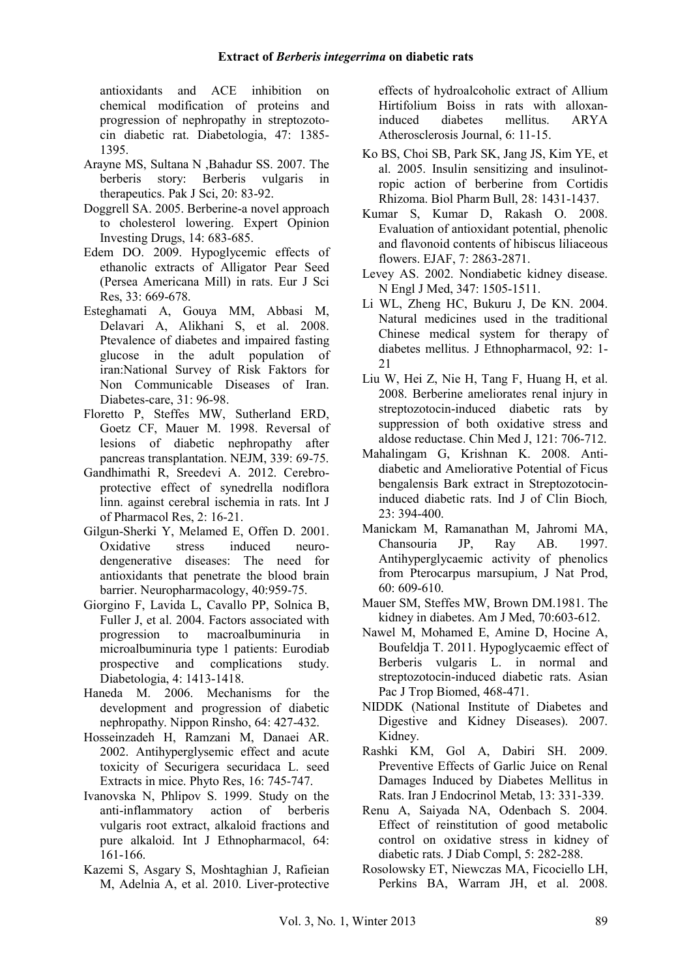antioxidants and ACE inhibition on chemical modification of proteins and progression of nephropathy in streptozotocin diabetic rat. Diabetologia, 47: 1385- 1395.

- Arayne MS, Sultana N ,Bahadur SS. 2007. The berberis story: Berberis vulgaris in therapeutics. Pak J Sci, 20: 83-92.
- Doggrell SA. 2005. Berberine-a novel approach to cholesterol lowering. Expert Opinion Investing Drugs, 14: 683-685.
- Edem DO. 2009. Hypoglycemic effects of ethanolic extracts of Alligator Pear Seed (Persea Americana Mill) in rats. Eur J Sci Res, 33: 669-678.
- Esteghamati A, Gouya MM, Abbasi M, Delavari A, Alikhani S, et al. 2008. Ptevalence of diabetes and impaired fasting glucose in the adult population of iran:National Survey of Risk Faktors for Non Communicable Diseases of Iran. Diabetes-care, 31: 96-98.
- Floretto P, Steffes MW, Sutherland ERD, Goetz CF, Mauer M. 1998. Reversal of lesions of diabetic nephropathy after pancreas transplantation. NEJM, 339: 69-75.
- Gandhimathi R, Sreedevi A. 2012. Cerebroprotective effect of synedrella nodiflora linn. against cerebral ischemia in rats. Int J of Pharmacol Res, 2: 16-21.
- Gilgun-Sherki Y, Melamed E, Offen D. 2001. Oxidative stress induced neurodengenerative diseases: The need for antioxidants that penetrate the blood brain barrier. Neuropharmacology, 40:959-75.
- Giorgino F, Lavida L, Cavallo PP, Solnica B, Fuller J, et al. 2004. Factors associated with progression to macroalbuminuria in microalbuminuria type 1 patients: Eurodiab prospective and complications study. Diabetologia, 4: 1413-1418.
- Haneda M. 2006. Mechanisms for the development and progression of diabetic nephropathy. Nippon Rinsho, 64: 427-432.
- Hosseinzadeh H, Ramzani M, Danaei AR. 2002. Antihyperglysemic effect and acute toxicity of Securigera securidaca L. seed Extracts in mice. Phyto Res, 16: 745-747.
- Ivanovska N, Phlipov S. 1999. Study on the anti-inflammatory action of berberis vulgaris root extract, alkaloid fractions and pure alkaloid. Int J Ethnopharmacol, 64: 161-166.
- Kazemi S, Asgary S, Moshtaghian J, Rafieian M, Adelnia A, et al. 2010. Liver-protective

effects of hydroalcoholic extract of Allium Hirtifolium Boiss in rats with alloxaninduced diabetes mellitus. ARYA Atherosclerosis Journal, 6: 11-15.

- Ko BS, Choi SB, Park SK, Jang JS, Kim YE, et al. 2005. Insulin sensitizing and insulinotropic action of berberine from Cortidis Rhizoma. Biol Pharm Bull, 28: 1431-1437.
- Kumar S, Kumar D, Rakash O. 2008. Evaluation of antioxidant potential, phenolic and flavonoid contents of hibiscus liliaceous flowers. EJAF, 7: 2863-2871.
- Levey AS. 2002. Nondiabetic kidney disease. N Engl J Med, 347: 1505-1511.
- Li WL, Zheng HC, Bukuru J, De KN. 2004. Natural medicines used in the traditional Chinese medical system for therapy of diabetes mellitus. J Ethnopharmacol, 92: 1- 21
- Liu W, Hei Z, Nie H, Tang F, Huang H, et al. 2008. Berberine ameliorates renal injury in streptozotocin-induced diabetic rats by suppression of both oxidative stress and aldose reductase. Chin Med J, 121: 706-712.
- Mahalingam G, Krishnan K. 2008. Antidiabetic and Ameliorative Potential of Ficus bengalensis Bark extract in Streptozotocininduced diabetic rats. Ind J of Clin Bioch*,* 23: 394-400.
- Manickam M, Ramanathan M, Jahromi MA, Chansouria JP, Ray AB. 1997. Antihyperglycaemic activity of phenolics from Pterocarpus marsupium, J Nat Prod, 60: 609-610.
- Mauer SM, Steffes MW, Brown DM.1981. The kidney in diabetes. Am J Med, 70:603-612.
- Nawel M, Mohamed E, Amine D, Hocine A, Boufeldja T. 2011. Hypoglycaemic effect of Berberis vulgaris L. in normal and streptozotocin-induced diabetic rats. Asian Pac J Trop Biomed, 468-471.
- NIDDK (National Institute of Diabetes and Digestive and Kidney Diseases). 2007. Kidney.
- Rashki KM, Gol A, Dabiri SH. 2009. Preventive Effects of Garlic Juice on Renal Damages Induced by Diabetes Mellitus in Rats. Iran J Endocrinol Metab, 13: 331-339.
- Renu A, Saiyada NA, Odenbach S. 2004. Effect of reinstitution of good metabolic control on oxidative stress in kidney of diabetic rats. J Diab Compl, 5: 282-288.
- Rosolowsky ET, Niewczas MA, Ficociello LH, Perkins BA, Warram JH, et al. 2008.